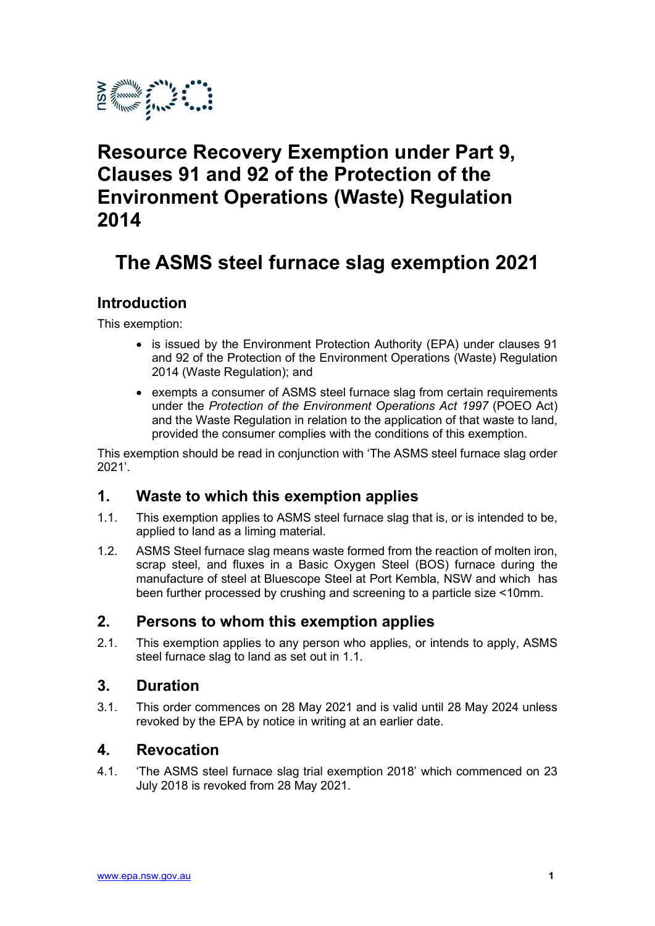

# Resource Recovery Exemption under Part 9, Clauses 91 and 92 of the Protection of the Environment Operations (Waste) Regulation 2014

# The ASMS steel furnace slag exemption 2021

# Introduction

This exemption:

- is issued by the Environment Protection Authority (EPA) under clauses 91 and 92 of the Protection of the Environment Operations (Waste) Regulation 2014 (Waste Regulation); and
- exempts a consumer of ASMS steel furnace slag from certain requirements under the Protection of the Environment Operations Act 1997 (POEO Act) and the Waste Regulation in relation to the application of that waste to land, provided the consumer complies with the conditions of this exemption.

This exemption should be read in conjunction with 'The ASMS steel furnace slag order 2021'.

## 1. Waste to which this exemption applies

- 1.1. This exemption applies to ASMS steel furnace slag that is, or is intended to be, applied to land as a liming material.
- 1.2. ASMS Steel furnace slag means waste formed from the reaction of molten iron, scrap steel, and fluxes in a Basic Oxygen Steel (BOS) furnace during the manufacture of steel at Bluescope Steel at Port Kembla, NSW and which has been further processed by crushing and screening to a particle size <10mm.

#### 2. Persons to whom this exemption applies

2.1. This exemption applies to any person who applies, or intends to apply, ASMS steel furnace slag to land as set out in 1.1.

#### 3. Duration

3.1. This order commences on 28 May 2021 and is valid until 28 May 2024 unless revoked by the EPA by notice in writing at an earlier date.

#### 4. Revocation

4.1. 'The ASMS steel furnace slag trial exemption 2018' which commenced on 23 July 2018 is revoked from 28 May 2021.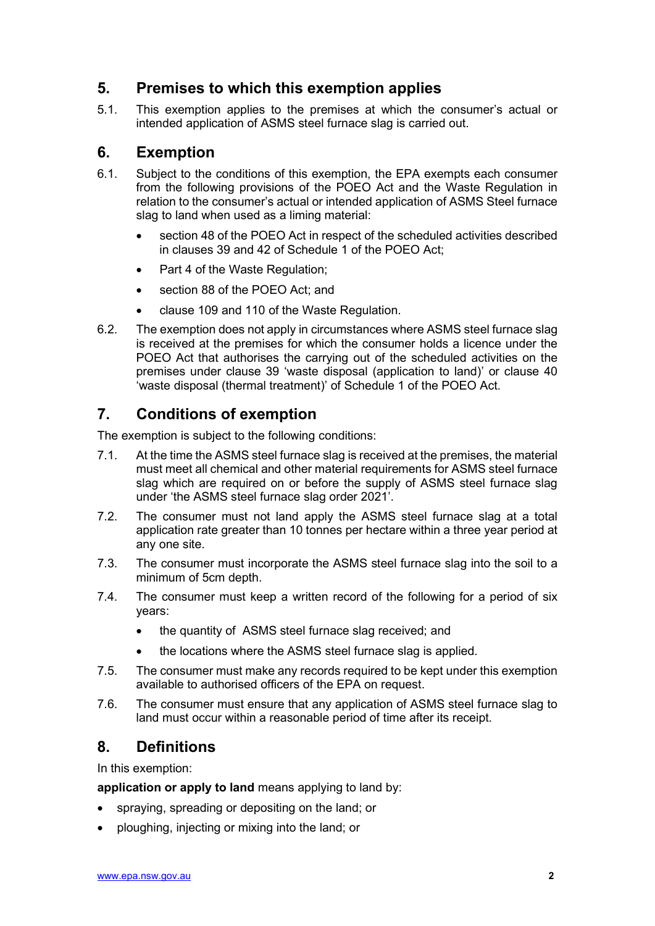# 5. Premises to which this exemption applies

5.1. This exemption applies to the premises at which the consumer's actual or intended application of ASMS steel furnace slag is carried out.

# 6. Exemption

- 6.1. Subject to the conditions of this exemption, the EPA exempts each consumer from the following provisions of the POEO Act and the Waste Regulation in relation to the consumer's actual or intended application of ASMS Steel furnace slag to land when used as a liming material:
	- section 48 of the POEO Act in respect of the scheduled activities described in clauses 39 and 42 of Schedule 1 of the POEO Act;
	- Part 4 of the Waste Regulation;
	- section 88 of the POEO Act; and
	- clause 109 and 110 of the Waste Regulation.
- 6.2. The exemption does not apply in circumstances where ASMS steel furnace slag is received at the premises for which the consumer holds a licence under the POEO Act that authorises the carrying out of the scheduled activities on the premises under clause 39 'waste disposal (application to land)' or clause 40 'waste disposal (thermal treatment)' of Schedule 1 of the POEO Act.

# 7. Conditions of exemption

The exemption is subject to the following conditions:

- 7.1. At the time the ASMS steel furnace slag is received at the premises, the material must meet all chemical and other material requirements for ASMS steel furnace slag which are required on or before the supply of ASMS steel furnace slag under 'the ASMS steel furnace slag order 2021'.
- 7.2. The consumer must not land apply the ASMS steel furnace slag at a total application rate greater than 10 tonnes per hectare within a three year period at any one site.
- 7.3. The consumer must incorporate the ASMS steel furnace slag into the soil to a minimum of 5cm depth.
- 7.4. The consumer must keep a written record of the following for a period of six years:
	- the quantity of ASMS steel furnace slag received; and
	- the locations where the ASMS steel furnace slag is applied.
- 7.5. The consumer must make any records required to be kept under this exemption available to authorised officers of the EPA on request.
- 7.6. The consumer must ensure that any application of ASMS steel furnace slag to land must occur within a reasonable period of time after its receipt.

## 8. Definitions

In this exemption:

application or apply to land means applying to land by:

- spraying, spreading or depositing on the land; or
- ploughing, injecting or mixing into the land; or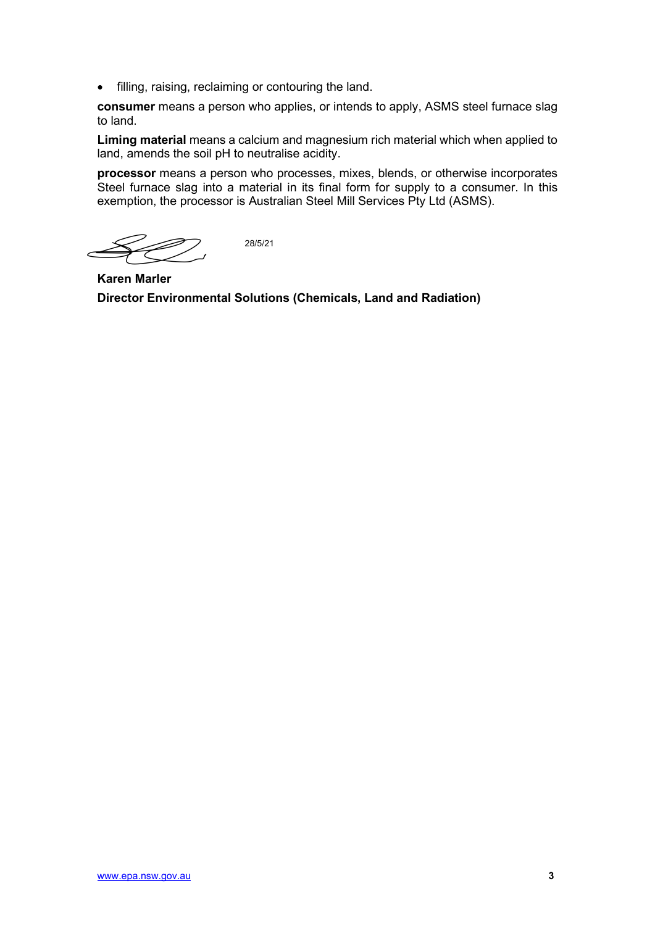filling, raising, reclaiming or contouring the land.

consumer means a person who applies, or intends to apply, ASMS steel furnace slag to land.

Liming material means a calcium and magnesium rich material which when applied to land, amends the soil pH to neutralise acidity.

processor means a person who processes, mixes, blends, or otherwise incorporates Steel furnace slag into a material in its final form for supply to a consumer. In this exemption, the processor is Australian Steel Mill Services Pty Ltd (ASMS).

28/5/21

Karen Marler Director Environmental Solutions (Chemicals, Land and Radiation)